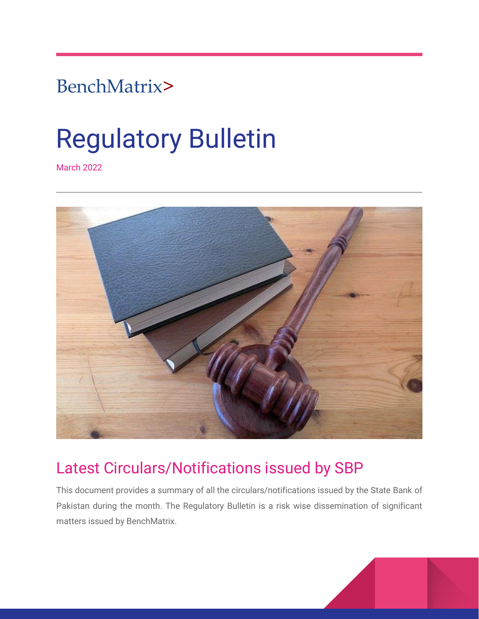# BenchMatrix>

# Regulatory Bulletin

March 2022



# Latest Circulars/Notifications issued by SBP

This document provides a summary of all the circulars/notifications issued by the State Bank of Pakistan during the month. The Regulatory Bulletin is a risk wise dissemination of significant matters issued by BenchMatrix.

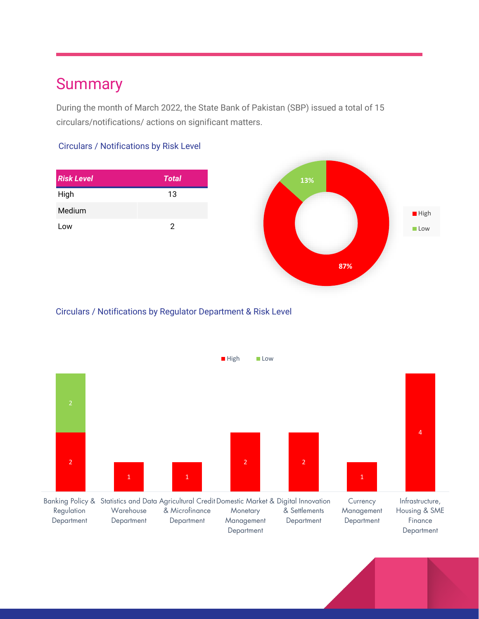# **Summary**

During the month of March 2022, the State Bank of Pakistan (SBP) issued a total of 15 circulars/notifications/ actions on significant matters.

#### Circulars / Notifications by Risk Level

| <b>Risk Level</b> | <b>Total</b> |
|-------------------|--------------|
| High              | 13           |
| Medium            |              |
| Low               | 2            |



#### Circulars / Notifications by Regulator Department & Risk Level

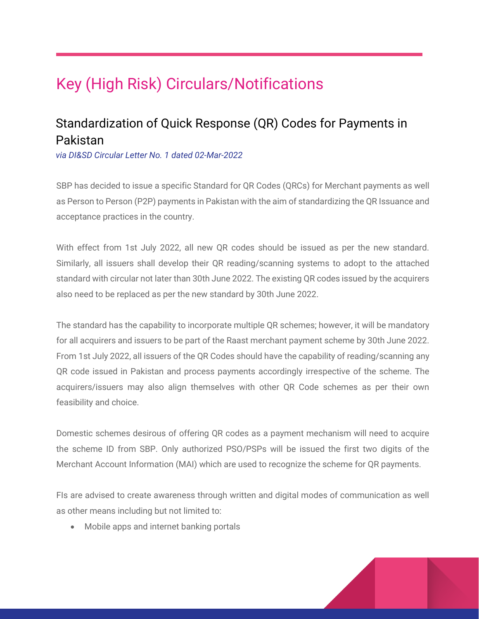# Key (High Risk) Circulars/Notifications

# Standardization of Quick Response (QR) Codes for Payments in Pakistan

*via DI&SD Circular Letter No. 1 dated 02-Mar-2022*

SBP has decided to issue a specific Standard for QR Codes (QRCs) for Merchant payments as well as Person to Person (P2P) payments in Pakistan with the aim of standardizing the QR Issuance and acceptance practices in the country.

With effect from 1st July 2022, all new QR codes should be issued as per the new standard. Similarly, all issuers shall develop their QR reading/scanning systems to adopt to the attached standard with circular not later than 30th June 2022. The existing QR codes issued by the acquirers also need to be replaced as per the new standard by 30th June 2022.

The standard has the capability to incorporate multiple QR schemes; however, it will be mandatory for all acquirers and issuers to be part of the Raast merchant payment scheme by 30th June 2022. From 1st July 2022, all issuers of the QR Codes should have the capability of reading/scanning any QR code issued in Pakistan and process payments accordingly irrespective of the scheme. The acquirers/issuers may also align themselves with other QR Code schemes as per their own feasibility and choice.

Domestic schemes desirous of offering QR codes as a payment mechanism will need to acquire the scheme ID from SBP. Only authorized PSO/PSPs will be issued the first two digits of the Merchant Account Information (MAI) which are used to recognize the scheme for QR payments.

FIs are advised to create awareness through written and digital modes of communication as well as other means including but not limited to:

Mobile apps and internet banking portals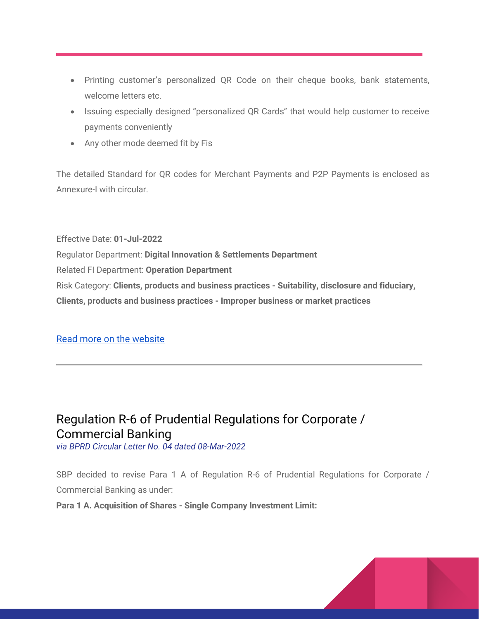- Printing customer's personalized QR Code on their cheque books, bank statements, welcome letters etc.
- Issuing especially designed "personalized QR Cards" that would help customer to receive payments conveniently
- Any other mode deemed fit by Fis

The detailed Standard for QR codes for Merchant Payments and P2P Payments is enclosed as Annexure-I with circular.

Effective Date: **01-Jul-2022** Regulator Department: **Digital Innovation & Settlements Department** Related FI Department: **Operation Department** Risk Category: **Clients, products and business practices - Suitability, disclosure and fiduciary, Clients, products and business practices - Improper business or market practices**

#### [Read more on the website](https://www.sbp.org.pk/disd/2022/CL1.htm)

# Regulation R-6 of Prudential Regulations for Corporate / Commercial Banking

*via BPRD Circular Letter No. 04 dated 08-Mar-2022*

SBP decided to revise Para 1 A of Regulation R-6 of Prudential Regulations for Corporate / Commercial Banking as under:

**Para 1 A. Acquisition of Shares - Single Company Investment Limit:** 

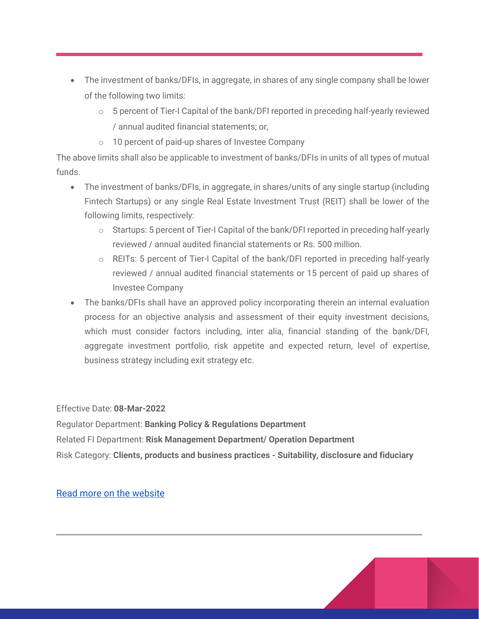- The investment of banks/DFIs, in aggregate, in shares of any single company shall be lower of the following two limits:
	- o 5 percent of Tier-I Capital of the bank/DFI reported in preceding half-yearly reviewed / annual audited financial statements; or,
	- o 10 percent of paid-up shares of Investee Company

The above limits shall also be applicable to investment of banks/DFIs in units of all types of mutual funds.

- The investment of banks/DFIs, in aggregate, in shares/units of any single startup (including Fintech Startups) or any single Real Estate Investment Trust (REIT) shall be lower of the following limits, respectively:
	- o Startups: 5 percent of Tier-I Capital of the bank/DFI reported in preceding half-yearly reviewed / annual audited financial statements or Rs. 500 million.
	- o REITs: 5 percent of Tier-I Capital of the bank/DFI reported in preceding half-yearly reviewed / annual audited financial statements or 15 percent of paid up shares of Investee Company
- The banks/DFIs shall have an approved policy incorporating therein an internal evaluation process for an objective analysis and assessment of their equity investment decisions, which must consider factors including, inter alia, financial standing of the bank/DFI, aggregate investment portfolio, risk appetite and expected return, level of expertise, business strategy including exit strategy etc.

Effective Date: **08-Mar-2022**

Regulator Department: **Banking Policy & Regulations Department** Related FI Department: **Risk Management Department/ Operation Department** Risk Category: **Clients, products and business practices - Suitability, disclosure and fiduciary**

[Read more on the website](https://www.sbp.org.pk/bprd/2022/CL4.htm)

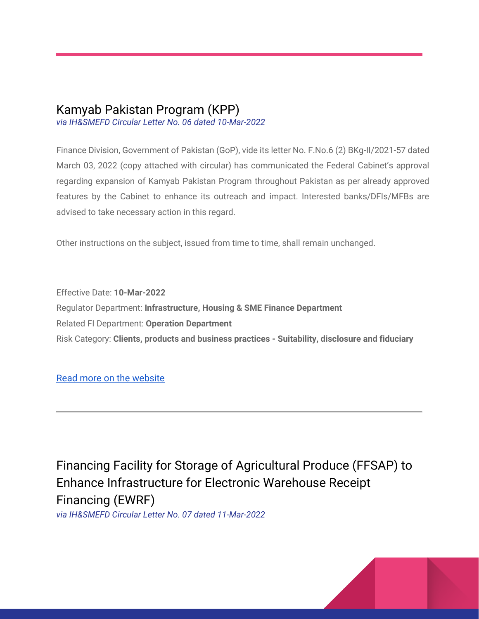### Kamyab Pakistan Program (KPP)

*via IH&SMEFD Circular Letter No. 06 dated 10-Mar-2022*

Finance Division, Government of Pakistan (GoP), vide its letter No. F.No.6 (2) BKg-II/2021-57 dated March 03, 2022 (copy attached with circular) has communicated the Federal Cabinet's approval regarding expansion of Kamyab Pakistan Program throughout Pakistan as per already approved features by the Cabinet to enhance its outreach and impact. Interested banks/DFIs/MFBs are advised to take necessary action in this regard.

Other instructions on the subject, issued from time to time, shall remain unchanged.

Effective Date: **10-Mar-2022** Regulator Department: **Infrastructure, Housing & SME Finance Department** Related FI Department: **Operation Department** Risk Category: **Clients, products and business practices - Suitability, disclosure and fiduciary**

#### [Read more on the website](https://www.sbp.org.pk/smefd/circulars/2022/CL6.htm)

Financing Facility for Storage of Agricultural Produce (FFSAP) to Enhance Infrastructure for Electronic Warehouse Receipt Financing (EWRF)

*via IH&SMEFD Circular Letter No. 07 dated 11-Mar-2022*

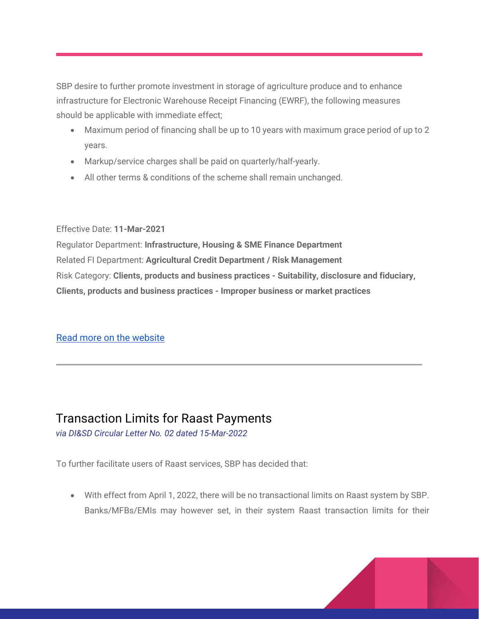SBP desire to further promote investment in storage of agriculture produce and to enhance infrastructure for Electronic Warehouse Receipt Financing (EWRF), the following measures should be applicable with immediate effect;

- Maximum period of financing shall be up to 10 years with maximum grace period of up to 2 years.
- Markup/service charges shall be paid on quarterly/half-yearly.
- All other terms & conditions of the scheme shall remain unchanged.

#### Effective Date: **11-Mar-2021**

Regulator Department: **Infrastructure, Housing & SME Finance Department** Related FI Department: **Agricultural Credit Department / Risk Management** Risk Category: **Clients, products and business practices - Suitability, disclosure and fiduciary, Clients, products and business practices - Improper business or market practices**

#### [Read more on the website](https://www.sbp.org.pk/smefd/circulars/2022/CL7.htm)

### Transaction Limits for Raast Payments

*via DI&SD Circular Letter No. 02 dated 15-Mar-2022*

To further facilitate users of Raast services, SBP has decided that:

 With effect from April 1, 2022, there will be no transactional limits on Raast system by SBP. Banks/MFBs/EMIs may however set, in their system Raast transaction limits for their

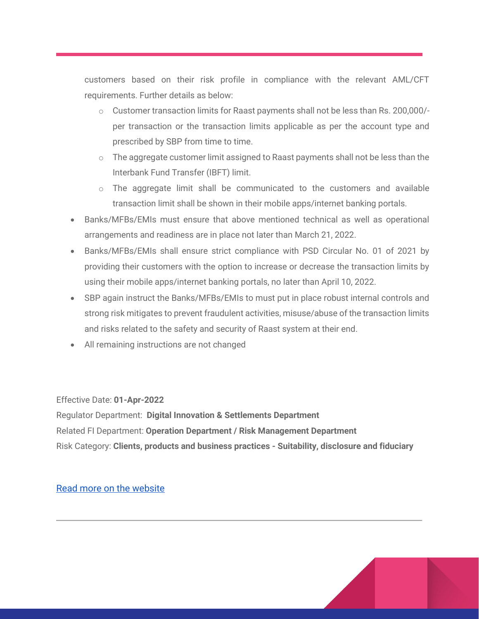customers based on their risk profile in compliance with the relevant AML/CFT requirements. Further details as below:

- $\circ$  Customer transaction limits for Raast payments shall not be less than Rs. 200,000/per transaction or the transaction limits applicable as per the account type and prescribed by SBP from time to time.
- $\circ$  The aggregate customer limit assigned to Raast payments shall not be less than the Interbank Fund Transfer (IBFT) limit.
- $\circ$  The aggregate limit shall be communicated to the customers and available transaction limit shall be shown in their mobile apps/internet banking portals.
- Banks/MFBs/EMIs must ensure that above mentioned technical as well as operational arrangements and readiness are in place not later than March 21, 2022.
- Banks/MFBs/EMIs shall ensure strict compliance with PSD Circular No. 01 of 2021 by providing their customers with the option to increase or decrease the transaction limits by using their mobile apps/internet banking portals, no later than April 10, 2022.
- SBP again instruct the Banks/MFBs/EMIs to must put in place robust internal controls and strong risk mitigates to prevent fraudulent activities, misuse/abuse of the transaction limits and risks related to the safety and security of Raast system at their end.
- All remaining instructions are not changed

Effective Date: **01-Apr-2022**

Regulator Department: **Digital Innovation & Settlements Department** Related FI Department: **Operation Department / Risk Management Department** Risk Category: **Clients, products and business practices - Suitability, disclosure and fiduciary**

[Read more on the website](https://www.sbp.org.pk/disd/2022/CL2.htm)

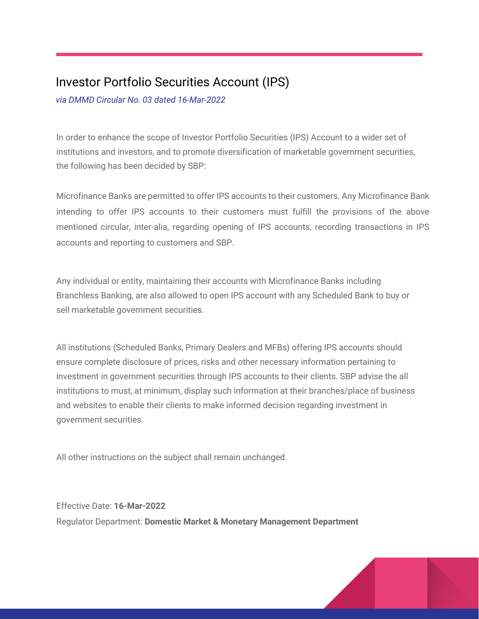# Investor Portfolio Securities Account (IPS)

*via DMMD Circular No. 03 dated 16-Mar-2022*

In order to enhance the scope of Investor Portfolio Securities (IPS) Account to a wider set of institutions and investors, and to promote diversification of marketable government securities, the following has been decided by SBP:

Microfinance Banks are permitted to offer IPS accounts to their customers. Any Microfinance Bank intending to offer IPS accounts to their customers must fulfill the provisions of the above mentioned circular, inter-alia, regarding opening of IPS accounts, recording transactions in IPS accounts and reporting to customers and SBP.

Any individual or entity, maintaining their accounts with Microfinance Banks including Branchless Banking, are also allowed to open IPS account with any Scheduled Bank to buy or sell marketable government securities.

All institutions (Scheduled Banks, Primary Dealers and MFBs) offering IPS accounts should ensure complete disclosure of prices, risks and other necessary information pertaining to investment in government securities through IPS accounts to their clients. SBP advise the all institutions to must, at minimum, display such information at their branches/place of business and websites to enable their clients to make informed decision regarding investment in government securities.

All other instructions on the subject shall remain unchanged.

Effective Date: **16-Mar-2022** Regulator Department: **Domestic Market & Monetary Management Department**

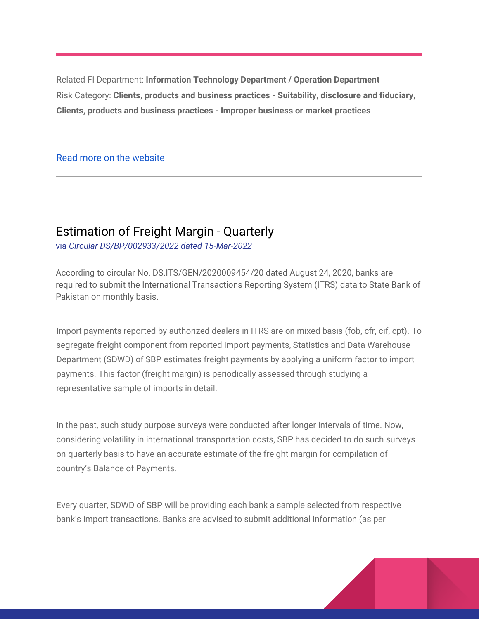Related FI Department: **Information Technology Department / Operation Department** Risk Category: **Clients, products and business practices - Suitability, disclosure and fiduciary, Clients, products and business practices - Improper business or market practices**

#### [Read more on the website](https://www.sbp.org.pk/dmmd/2022/C3.htm)

### Estimation of Freight Margin - Quarterly

via *Circular DS/BP/002933/2022 dated 15-Mar-2022*

According to circular No. DS.ITS/GEN/2020009454/20 dated August 24, 2020, banks are required to submit the International Transactions Reporting System (ITRS) data to State Bank of Pakistan on monthly basis.

Import payments reported by authorized dealers in ITRS are on mixed basis (fob, cfr, cif, cpt). To segregate freight component from reported import payments, Statistics and Data Warehouse Department (SDWD) of SBP estimates freight payments by applying a uniform factor to import payments. This factor (freight margin) is periodically assessed through studying a representative sample of imports in detail.

In the past, such study purpose surveys were conducted after longer intervals of time. Now, considering volatility in international transportation costs, SBP has decided to do such surveys on quarterly basis to have an accurate estimate of the freight margin for compilation of country's Balance of Payments.

Every quarter, SDWD of SBP will be providing each bank a sample selected from respective bank's import transactions. Banks are advised to submit additional information (as per

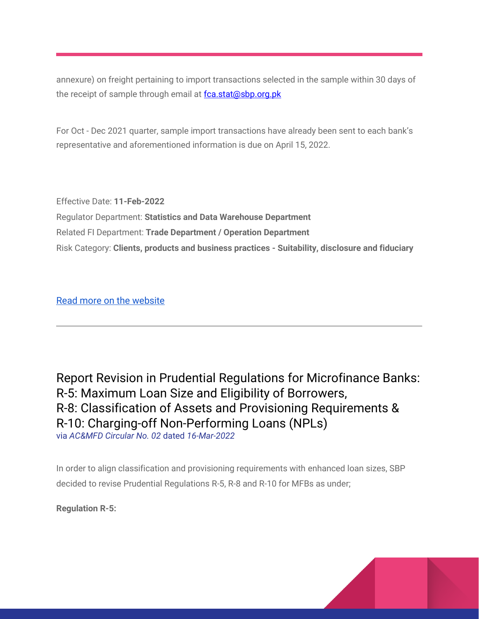annexure) on freight pertaining to import transactions selected in the sample within 30 days of the receipt of sample through email at [fca.stat@sbp.org.pk](mailto:fca.stat@sbp.org.pk)

For Oct - Dec 2021 quarter, sample import transactions have already been sent to each bank's representative and aforementioned information is due on April 15, 2022.

Effective Date: **11-Feb-2022** Regulator Department: **Statistics and Data Warehouse Department** Related FI Department: **Trade Department / Operation Department** Risk Category: **Clients, products and business practices - Suitability, disclosure and fiduciary**

[Read more on the website](https://www.sbp.org.pk/stats/2022/C2.htm)

Report Revision in Prudential Regulations for Microfinance Banks: R-5: Maximum Loan Size and Eligibility of Borrowers, R-8: Classification of Assets and Provisioning Requirements & R-10: Charging-off Non-Performing Loans (NPLs) via *AC&MFD Circular No. 02* dated *16-Mar-2022*

In order to align classification and provisioning requirements with enhanced loan sizes, SBP decided to revise Prudential Regulations R-5, R-8 and R-10 for MFBs as under;

**Regulation R-5:**

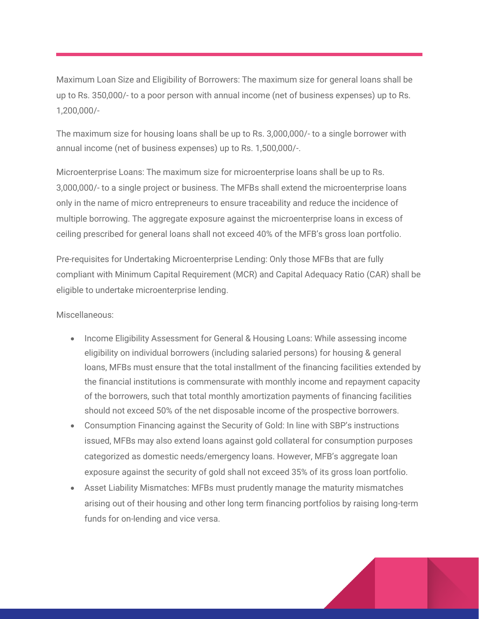Maximum Loan Size and Eligibility of Borrowers: The maximum size for general loans shall be up to Rs. 350,000/- to a poor person with annual income (net of business expenses) up to Rs. 1,200,000/-

The maximum size for housing loans shall be up to Rs. 3,000,000/- to a single borrower with annual income (net of business expenses) up to Rs. 1,500,000/-.

Microenterprise Loans: The maximum size for microenterprise loans shall be up to Rs. 3,000,000/- to a single project or business. The MFBs shall extend the microenterprise loans only in the name of micro entrepreneurs to ensure traceability and reduce the incidence of multiple borrowing. The aggregate exposure against the microenterprise loans in excess of ceiling prescribed for general loans shall not exceed 40% of the MFB's gross loan portfolio.

Pre-requisites for Undertaking Microenterprise Lending: Only those MFBs that are fully compliant with Minimum Capital Requirement (MCR) and Capital Adequacy Ratio (CAR) shall be eligible to undertake microenterprise lending.

Miscellaneous:

- Income Eligibility Assessment for General & Housing Loans: While assessing income eligibility on individual borrowers (including salaried persons) for housing & general loans, MFBs must ensure that the total installment of the financing facilities extended by the financial institutions is commensurate with monthly income and repayment capacity of the borrowers, such that total monthly amortization payments of financing facilities should not exceed 50% of the net disposable income of the prospective borrowers.
- Consumption Financing against the Security of Gold: In line with SBP's instructions issued, MFBs may also extend loans against gold collateral for consumption purposes categorized as domestic needs/emergency loans. However, MFB's aggregate loan exposure against the security of gold shall not exceed 35% of its gross loan portfolio.
- Asset Liability Mismatches: MFBs must prudently manage the maturity mismatches arising out of their housing and other long term financing portfolios by raising long-term funds for on-lending and vice versa.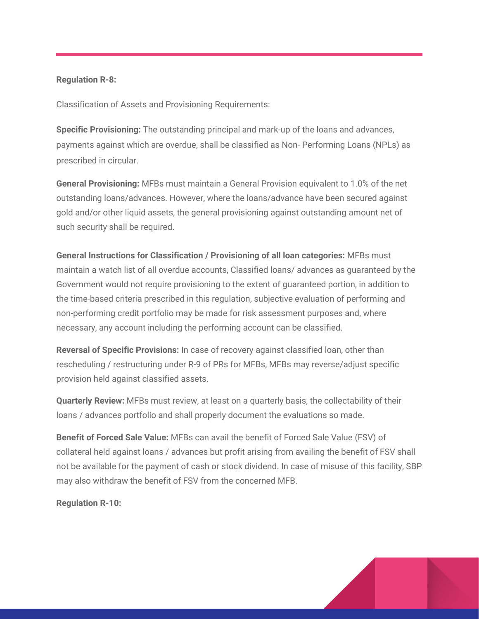#### **Regulation R-8:**

Classification of Assets and Provisioning Requirements:

**Specific Provisioning:** The outstanding principal and mark-up of the loans and advances, payments against which are overdue, shall be classified as Non- Performing Loans (NPLs) as prescribed in circular.

**General Provisioning:** MFBs must maintain a General Provision equivalent to 1.0% of the net outstanding loans/advances. However, where the loans/advance have been secured against gold and/or other liquid assets, the general provisioning against outstanding amount net of such security shall be required.

**General Instructions for Classification / Provisioning of all loan categories:** MFBs must maintain a watch list of all overdue accounts, Classified loans/ advances as guaranteed by the Government would not require provisioning to the extent of guaranteed portion, in addition to the time-based criteria prescribed in this regulation, subjective evaluation of performing and non-performing credit portfolio may be made for risk assessment purposes and, where necessary, any account including the performing account can be classified.

**Reversal of Specific Provisions:** In case of recovery against classified loan, other than rescheduling / restructuring under R-9 of PRs for MFBs, MFBs may reverse/adjust specific provision held against classified assets.

**Quarterly Review:** MFBs must review, at least on a quarterly basis, the collectability of their loans / advances portfolio and shall properly document the evaluations so made.

**Benefit of Forced Sale Value:** MFBs can avail the benefit of Forced Sale Value (FSV) of collateral held against loans / advances but profit arising from availing the benefit of FSV shall not be available for the payment of cash or stock dividend. In case of misuse of this facility, SBP may also withdraw the benefit of FSV from the concerned MFB.

**Regulation R-10:** 

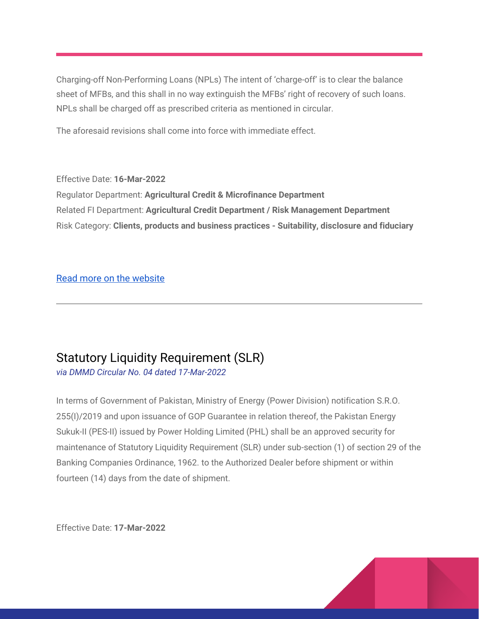Charging-off Non-Performing Loans (NPLs) The intent of 'charge-off' is to clear the balance sheet of MFBs, and this shall in no way extinguish the MFBs' right of recovery of such loans. NPLs shall be charged off as prescribed criteria as mentioned in circular.

The aforesaid revisions shall come into force with immediate effect.

Effective Date: **16-Mar-2022** Regulator Department: **Agricultural Credit & Microfinance Department** Related FI Department: **Agricultural Credit Department / Risk Management Department** Risk Category: **Clients, products and business practices - Suitability, disclosure and fiduciary**

#### [Read more on the website](https://www.sbp.org.pk/acd/2022/C2.htm)

# Statutory Liquidity Requirement (SLR)

*via DMMD Circular No. 04 dated 17-Mar-2022*

In terms of Government of Pakistan, Ministry of Energy (Power Division) notification S.R.O. 255(I)/2019 and upon issuance of GOP Guarantee in relation thereof, the Pakistan Energy Sukuk-II (PES-II) issued by Power Holding Limited (PHL) shall be an approved security for maintenance of Statutory Liquidity Requirement (SLR) under sub-section (1) of section 29 of the Banking Companies Ordinance, 1962. to the Authorized Dealer before shipment or within fourteen (14) days from the date of shipment.

Effective Date: **17-Mar-2022**

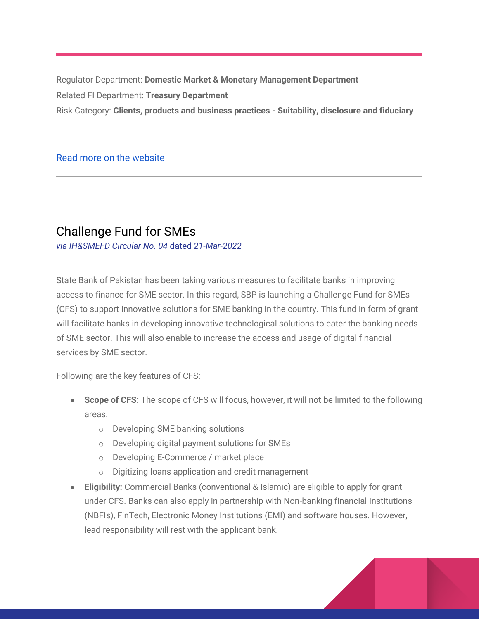Regulator Department: **Domestic Market & Monetary Management Department** Related FI Department: **Treasury Department** Risk Category: **Clients, products and business practices - Suitability, disclosure and fiduciary**

#### [Read more on the website](https://www.sbp.org.pk/dmmd/2022/C4.htm)

### Challenge Fund for SMEs

*via IH&SMEFD Circular No. 04* dated *21-Mar-2022*

State Bank of Pakistan has been taking various measures to facilitate banks in improving access to finance for SME sector. In this regard, SBP is launching a Challenge Fund for SMEs (CFS) to support innovative solutions for SME banking in the country. This fund in form of grant will facilitate banks in developing innovative technological solutions to cater the banking needs of SME sector. This will also enable to increase the access and usage of digital financial services by SME sector.

Following are the key features of CFS:

- **Scope of CFS:** The scope of CFS will focus, however, it will not be limited to the following areas:
	- o Developing SME banking solutions
	- o Developing digital payment solutions for SMEs
	- o Developing E-Commerce / market place
	- o Digitizing loans application and credit management
- **Eligibility:** Commercial Banks (conventional & Islamic) are eligible to apply for grant under CFS. Banks can also apply in partnership with Non-banking financial Institutions (NBFIs), FinTech, Electronic Money Institutions (EMI) and software houses. However, lead responsibility will rest with the applicant bank.

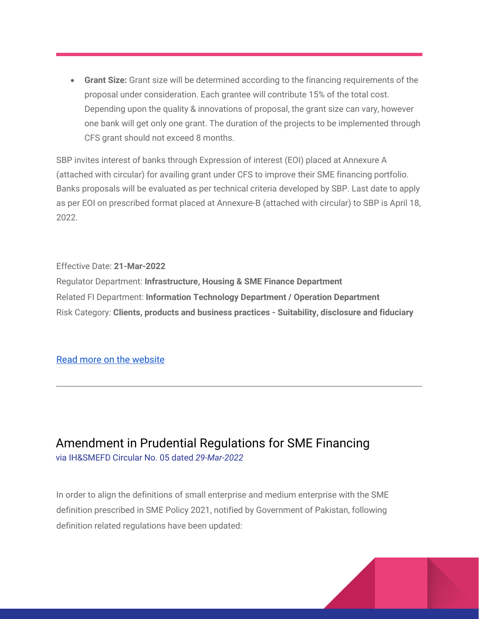**Grant Size:** Grant size will be determined according to the financing requirements of the proposal under consideration. Each grantee will contribute 15% of the total cost. Depending upon the quality & innovations of proposal, the grant size can vary, however one bank will get only one grant. The duration of the projects to be implemented through CFS grant should not exceed 8 months.

SBP invites interest of banks through Expression of interest (EOI) placed at Annexure A (attached with circular) for availing grant under CFS to improve their SME financing portfolio. Banks proposals will be evaluated as per technical criteria developed by SBP. Last date to apply as per EOI on prescribed format placed at Annexure-B (attached with circular) to SBP is April 18, 2022.

Effective Date: **21-Mar-2022**

Regulator Department: **Infrastructure, Housing & SME Finance Department** Related FI Department: **Information Technology Department / Operation Department** Risk Category: **Clients, products and business practices - Suitability, disclosure and fiduciary**

#### [Read more on the website](https://www.sbp.org.pk/smefd/circulars/2022/C4.htm)

Amendment in Prudential Regulations for SME Financing via IH&SMEFD Circular No. 05 dated *29-Mar-2022*

In order to align the definitions of small enterprise and medium enterprise with the SME definition prescribed in SME Policy 2021, notified by Government of Pakistan, following definition related regulations have been updated:

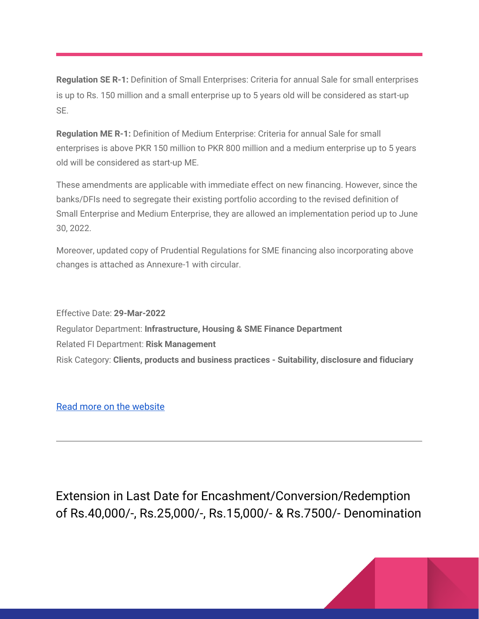**Regulation SE R-1:** Definition of Small Enterprises: Criteria for annual Sale for small enterprises is up to Rs. 150 million and a small enterprise up to 5 years old will be considered as start-up SE.

**Regulation ME R-1:** Definition of Medium Enterprise: Criteria for annual Sale for small enterprises is above PKR 150 million to PKR 800 million and a medium enterprise up to 5 years old will be considered as start-up ME.

These amendments are applicable with immediate effect on new financing. However, since the banks/DFIs need to segregate their existing portfolio according to the revised definition of Small Enterprise and Medium Enterprise, they are allowed an implementation period up to June 30, 2022.

Moreover, updated copy of Prudential Regulations for SME financing also incorporating above changes is attached as Annexure-1 with circular.

Effective Date: **29-Mar-2022** Regulator Department: **Infrastructure, Housing & SME Finance Department** Related FI Department: **Risk Management** Risk Category: **Clients, products and business practices - Suitability, disclosure and fiduciary**

[Read more on the website](https://www.sbp.org.pk/smefd/circulars/2022/C5.htm)

Extension in Last Date for Encashment/Conversion/Redemption of Rs.40,000/-, Rs.25,000/-, Rs.15,000/- & Rs.7500/- Denomination

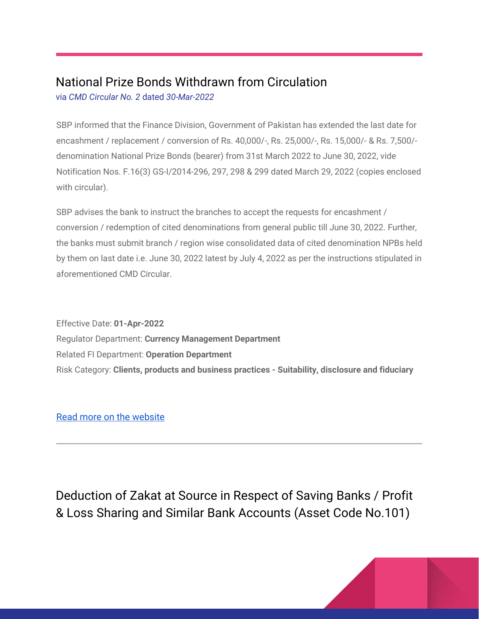# National Prize Bonds Withdrawn from Circulation

via *CMD Circular No. 2* dated *30-Mar-2022*

SBP informed that the Finance Division, Government of Pakistan has extended the last date for encashment / replacement / conversion of Rs. 40,000/-, Rs. 25,000/-, Rs. 15,000/- & Rs. 7,500/ denomination National Prize Bonds (bearer) from 31st March 2022 to June 30, 2022, vide Notification Nos. F.16(3) GS-I/2014-296, 297, 298 & 299 dated March 29, 2022 (copies enclosed with circular).

SBP advises the bank to instruct the branches to accept the requests for encashment / conversion / redemption of cited denominations from general public till June 30, 2022. Further, the banks must submit branch / region wise consolidated data of cited denomination NPBs held by them on last date i.e. June 30, 2022 latest by July 4, 2022 as per the instructions stipulated in aforementioned CMD Circular.

Effective Date: **01-Apr-2022** Regulator Department: **Currency Management Department** Related FI Department: **Operation Department** Risk Category: **Clients, products and business practices - Suitability, disclosure and fiduciary**

[Read more on the website](https://www.sbp.org.pk/smefd/circulars/2022/CL5.htm)

Deduction of Zakat at Source in Respect of Saving Banks / Profit & Loss Sharing and Similar Bank Accounts (Asset Code No.101)

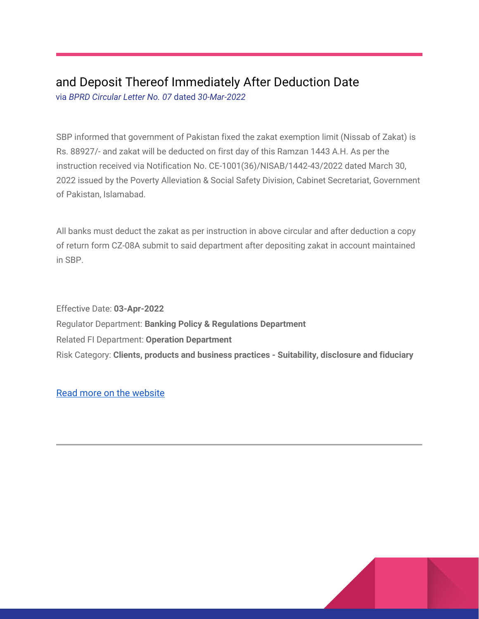# and Deposit Thereof Immediately After Deduction Date

via *BPRD Circular Letter No. 07* dated *30-Mar-2022*

SBP informed that government of Pakistan fixed the zakat exemption limit (Nissab of Zakat) is Rs. 88927/- and zakat will be deducted on first day of this Ramzan 1443 A.H. As per the instruction received via Notification No. CE-1001(36)/NISAB/1442-43/2022 dated March 30, 2022 issued by the Poverty Alleviation & Social Safety Division, Cabinet Secretariat, Government of Pakistan, Islamabad.

All banks must deduct the zakat as per instruction in above circular and after deduction a copy of return form CZ-08A submit to said department after depositing zakat in account maintained in SBP.

Effective Date: **03-Apr-2022** Regulator Department: **Banking Policy & Regulations Department** Related FI Department: **Operation Department** Risk Category: **Clients, products and business practices - Suitability, disclosure and fiduciary**

[Read more on the website](https://www.sbp.org.pk/bprd/2022/CL7.htm)

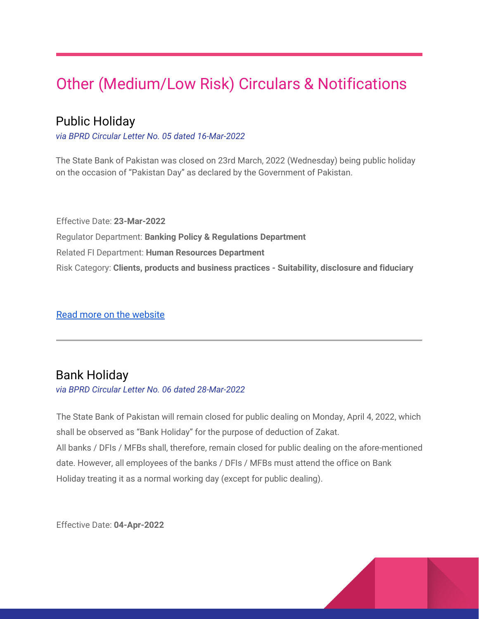# Other (Medium/Low Risk) Circulars & Notifications

## Public Holiday

*via BPRD Circular Letter No. 05 dated 16-Mar-2022*

The State Bank of Pakistan was closed on 23rd March, 2022 (Wednesday) being public holiday on the occasion of "Pakistan Day" as declared by the Government of Pakistan.

Effective Date: **23-Mar-2022** Regulator Department: **Banking Policy & Regulations Department** Related FI Department: **Human Resources Department** Risk Category: **Clients, products and business practices - Suitability, disclosure and fiduciary**

[Read more on the website](https://www.sbp.org.pk/bprd/2022/CL5.htm)

### Bank Holiday

*via BPRD Circular Letter No. 06 dated 28-Mar-2022*

The State Bank of Pakistan will remain closed for public dealing on Monday, April 4, 2022, which shall be observed as "Bank Holiday" for the purpose of deduction of Zakat. All banks / DFIs / MFBs shall, therefore, remain closed for public dealing on the afore-mentioned date. However, all employees of the banks / DFIs / MFBs must attend the office on Bank Holiday treating it as a normal working day (except for public dealing).

Effective Date: **04-Apr-2022**

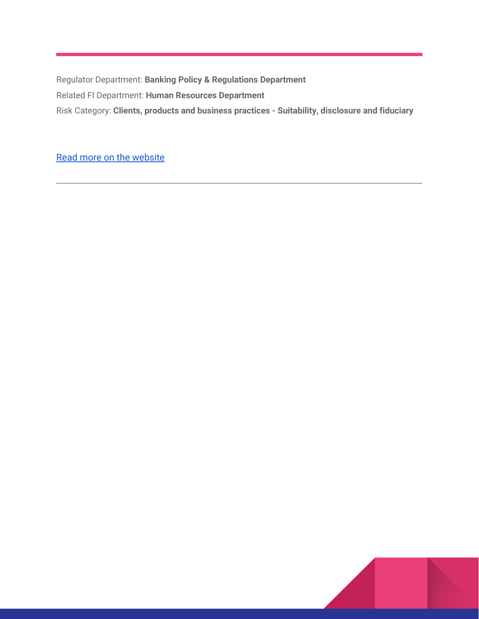Regulator Department: **Banking Policy & Regulations Department** Related FI Department: **Human Resources Department** Risk Category: **Clients, products and business practices - Suitability, disclosure and fiduciary**

[Read more on the website](https://www.sbp.org.pk/bprd/2022/CL6.htm)